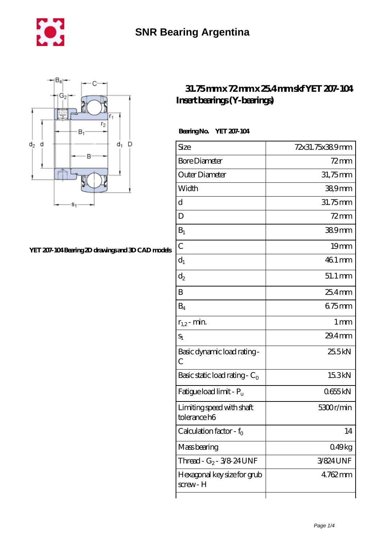



## **[YET 207-104 Bearing 2D drawings and 3D CAD models](https://m.chilcotinlodge.com/pic-64960184.html)**

## **[31.75 mm x 72 mm x 25.4 mm skf YET 207-104](https://m.chilcotinlodge.com/am-64960184-skf-yet-207-104-insert-bearings-y-bearings.html) [Insert bearings \(Y-bearings\)](https://m.chilcotinlodge.com/am-64960184-skf-yet-207-104-insert-bearings-y-bearings.html)**

 **Bearing No. YET 207-104**

| Size                                      | 72x31.75x389mm    |
|-------------------------------------------|-------------------|
| <b>Bore Diameter</b>                      | $72$ mm           |
| Outer Diameter                            | 31,75mm           |
| Width                                     | 38,9mm            |
| d                                         | 31.75mm           |
| D                                         | $72$ mm           |
| $B_1$                                     | 389mm             |
| $\overline{C}$                            | 19 <sub>mm</sub>  |
| $d_1$                                     | 46.1 mm           |
| $d_2$                                     | 51.1 mm           |
| B                                         | $254$ mm          |
| $B_4$                                     | $675$ mm          |
| $r_{1,2}$ - min.                          | $1 \,\mathrm{mm}$ |
| $S_1$                                     | 29.4mm            |
| Basic dynamic load rating-<br>C           | 25.5kN            |
| Basic static load rating - $C_0$          | 15.3kN            |
| Fatigue load limit - P <sub>u</sub>       | 0655kN            |
| Limiting speed with shaft<br>tolerance h6 | 5300r/min         |
| Calculation factor - f <sub>o</sub>       | 14                |
| Mass bearing                              | 0.49kg            |
| Thread - $G_2$ - 3/8 24 UNF               | 3/824UNF          |
| Hexagonal key size for grub<br>screw- H   | $4762$ mm         |
|                                           |                   |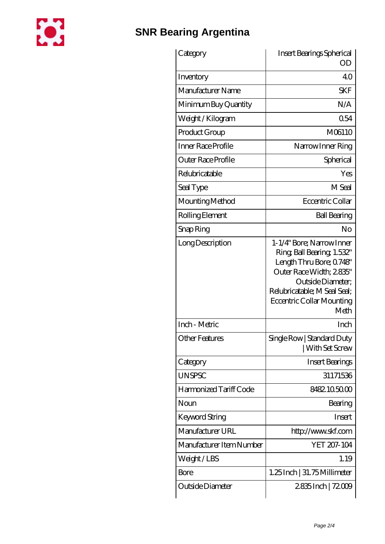

## **[SNR Bearing Argentina](https://m.chilcotinlodge.com)**

| Category                 | Insert Bearings Spherical<br><b>OD</b>                                                                                                                                                                  |
|--------------------------|---------------------------------------------------------------------------------------------------------------------------------------------------------------------------------------------------------|
| Inventory                | 40                                                                                                                                                                                                      |
| Manufacturer Name        | <b>SKF</b>                                                                                                                                                                                              |
| Minimum Buy Quantity     | N/A                                                                                                                                                                                                     |
| Weight / Kilogram        | 054                                                                                                                                                                                                     |
| Product Group            | M06110                                                                                                                                                                                                  |
| Inner Race Profile       | Narrow Inner Ring                                                                                                                                                                                       |
| Outer Race Profile       | Spherical                                                                                                                                                                                               |
| Relubricatable           | Yes                                                                                                                                                                                                     |
| Seal Type                | M Seal                                                                                                                                                                                                  |
| Mounting Method          | Eccentric Collar                                                                                                                                                                                        |
| Rolling Element          | <b>Ball Bearing</b>                                                                                                                                                                                     |
| Snap Ring                | No                                                                                                                                                                                                      |
| Long Description         | 1-1/4" Bore; Narrow Inner<br>Ring, Ball Bearing, 1.532"<br>Length Thru Bore; 0748"<br>Outer Race Width; 2835"<br>Outside Diameter;<br>Relubricatable; M Seal Seal;<br>Eccentric Collar Mounting<br>Meth |
| Inch - Metric            | Inch                                                                                                                                                                                                    |
| <b>Other Features</b>    | Single Row   Standard Duty<br>With Set Screw                                                                                                                                                            |
| Category                 | <b>Insert Bearings</b>                                                                                                                                                                                  |
| <b>UNSPSC</b>            | 31171536                                                                                                                                                                                                |
| Harmonized Tariff Code   | 8482.105000                                                                                                                                                                                             |
| Noun                     | Bearing                                                                                                                                                                                                 |
| Keyword String           | Insert                                                                                                                                                                                                  |
| Manufacturer URL         | http://www.skf.com                                                                                                                                                                                      |
| Manufacturer Item Number | YET 207-104                                                                                                                                                                                             |
| Weight/LBS               | 1.19                                                                                                                                                                                                    |
| <b>Bore</b>              | $1.25$ Inch   31.75 Millimeter                                                                                                                                                                          |
| Outside Diameter         | 2835Inch   72009                                                                                                                                                                                        |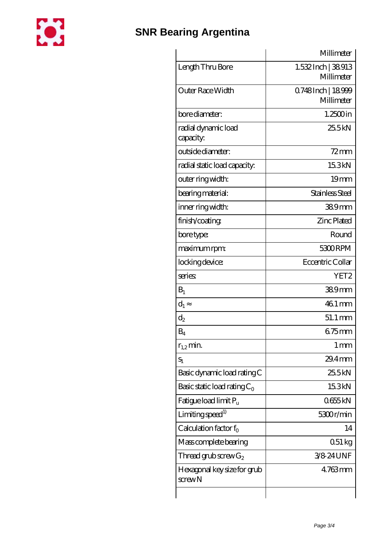

|                                             | Millimeter                       |
|---------------------------------------------|----------------------------------|
| Length Thru Bore                            | 1.532 Inch   38913<br>Millimeter |
| <b>Outer Race Width</b>                     | 0.748Inch   18999<br>Millimeter  |
| bore diameter:                              | $1.2500$ in                      |
| radial dynamic load<br>capacity:            | 25.5kN                           |
| outside diameter:                           | $72$ mm                          |
| radial static load capacity:                | 15.3kN                           |
| outer ring width:                           | 19 <sub>mm</sub>                 |
| bearing material:                           | Stainless Steel                  |
| inner ring width:                           | $389$ mm                         |
| finish/coating                              | <b>Zinc Plated</b>               |
| bore type:                                  | Round                            |
| maximum rpm:                                | 5300RPM                          |
| locking device:                             | Eccentric Collar                 |
| series                                      | YET2                             |
| $B_1$                                       | 389mm                            |
| $d_1$                                       | 46.1 mm                          |
| $d_2$                                       | 51.1 mm                          |
| $B_4$                                       | $675$ mm                         |
| $r_{1,2}$ min.                              | 1 <sub>mm</sub>                  |
| $S_1$                                       | 29.4mm                           |
| Basic dynamic load rating C                 | 25.5kN                           |
| Basic static load rating $C_0$              | 15.3kN                           |
| Fatigue load limit Pu                       | 0655kN                           |
| Limiting speed <sup>1)</sup>                | 5300r/min                        |
| Calculation factor $f_0$                    | 14                               |
| Mass complete bearing                       | $051 \text{ kg}$                 |
| Thread grub screw $G_2$                     | 3/8 24 UNF                       |
| Hexagonal key size for grub<br>$s$ crew $N$ | $4763$ mm                        |
|                                             |                                  |